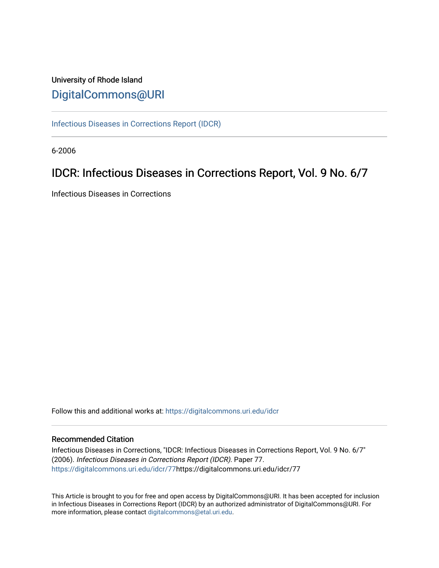## University of Rhode Island [DigitalCommons@URI](https://digitalcommons.uri.edu/)

[Infectious Diseases in Corrections Report \(IDCR\)](https://digitalcommons.uri.edu/idcr)

6-2006

# IDCR: Infectious Diseases in Corrections Report, Vol. 9 No. 6/7

Infectious Diseases in Corrections

Follow this and additional works at: [https://digitalcommons.uri.edu/idcr](https://digitalcommons.uri.edu/idcr?utm_source=digitalcommons.uri.edu%2Fidcr%2F77&utm_medium=PDF&utm_campaign=PDFCoverPages)

## Recommended Citation

Infectious Diseases in Corrections, "IDCR: Infectious Diseases in Corrections Report, Vol. 9 No. 6/7" (2006). Infectious Diseases in Corrections Report (IDCR). Paper 77. [https://digitalcommons.uri.edu/idcr/77h](https://digitalcommons.uri.edu/idcr/77?utm_source=digitalcommons.uri.edu%2Fidcr%2F77&utm_medium=PDF&utm_campaign=PDFCoverPages)ttps://digitalcommons.uri.edu/idcr/77

This Article is brought to you for free and open access by DigitalCommons@URI. It has been accepted for inclusion in Infectious Diseases in Corrections Report (IDCR) by an authorized administrator of DigitalCommons@URI. For more information, please contact [digitalcommons@etal.uri.edu.](mailto:digitalcommons@etal.uri.edu)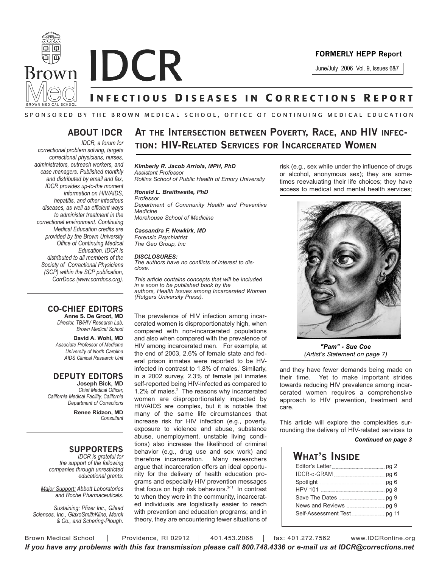



June/July 2006 Vol. 9, Issues 6&7

# **INFECTIOUS DISEASES IN CORRECTIONS REPORT**

## SPONSORED BY THE BROWN MEDICAL SCHOOL, OFFICE OF CONTINUING MEDICAL EDUCATION

## **ABOUT IDCR**

*IDCR, a forum for correctional problem solving, targets correctional physicians, nurses, administrators, outreach workers, and case managers. Published monthly and distributed by email and fax, IDCR provides up-to-the moment information on HIV/AIDS, hepatitis, and other infectious diseases, as well as efficient ways to administer treatment in the correctional environment. Continuing Medical Education credits are provided by the Brown University Office of Continuing Medical Education. IDCR is distributed to all members of the Society of Correctional Physicians (SCP) within the SCP publication, CorrDocs (www.corrdocs.org).*

## **CO-CHIEF EDITORS Anne S. De Groot, MD**

*Director, TB/HIV Research Lab, Brown Medical School*

**David A. Wohl, MD** *Associate Professor of Medicine University of North Carolina AIDS Clinical Research Unit*

## **DEPUTY EDITORS Joseph Bick, MD**

*Chief Medical Officer, California Medical Facility, California Department of Corrections*

**Renee Ridzon, MD** *Consultant*

## **SUPPORTERS**

*IDCR is grateful for the support of the following companies through unrestricted educational grants:*

*Major Support: Abbott Laboratories and Roche Pharmaceuticals.* 

*Sustaining: Pfizer Inc., Gilead Sciences, Inc., GlaxoSmithKline, Merck & Co., and Schering-Plough.*

## **AT THE INTERSECTION BETWEEN POVERTY, RACE, AND HIV INFEC-TION: HIV-RELATED SERVICES FOR INCARCERATED WOMEN**

## *Kimberly R. Jacob Arriola, MPH, PhD Assistant Professor*

*Rollins School of Public Health of Emory University*

*Ronald L. Braithwaite, PhD Professor Department of Community Health and Preventive Medicine Morehouse School of Medicine*

### *Cassandra F. Newkirk, MD Forensic Psychiatrist*

*The Geo Group, Inc*

## *DISCLOSURES:*

*The authors have no conflicts of interest to disclose.*

*This article contains concepts that will be included in a soon to be published book by the authors, Health Issues among Incarcerated Women (Rutgers University Press).* 

The prevalence of HIV infection among incarcerated women is disproportionately high, when compared with non-incarcerated populations and also when compared with the prevalence of HIV among incarcerated men. For example, at the end of 2003, 2.6% of female state and federal prison inmates were reported to be HVinfected in contrast to 1.8% of males.<sup>1</sup> Similarly, in a 2002 survey, 2.3% of female jail inmates self-reported being HIV-infected as compared to 1.2% of males. $2$  The reasons why incarcerated women are disproportionately impacted by HIV/AIDS are complex, but it is notable that many of the same life circumstances that increase risk for HIV infection (e.g., poverty, exposure to violence and abuse, substance abuse, unemployment, unstable living conditions) also increase the likelihood of criminal behavior (e.g., drug use and sex work) and therefore incarceration. Many researchers argue that incarceration offers an ideal opportunity for the delivery of health education programs and especially HIV prevention messages that focus on high risk behaviors.<sup>3-11</sup> In contrast to when they were in the community, incarcerated individuals are logistically easier to reach with prevention and education programs; and in theory, they are encountering fewer situations of

risk (e.g., sex while under the influence of drugs or alcohol, anonymous sex); they are sometimes reevaluating their life choices; they have access to medical and mental health services;



*"Pam" - Sue Coe (Artist's Statement on page 7)*

and they have fewer demands being made on their time. Yet to make important strides towards reducing HIV prevalence among incarcerated women requires a comprehensive approach to HIV prevention, treatment and care.

This article will explore the complexities surrounding the delivery of HIV-related services to

### *Continued on page 3*

| What's Inside |  |
|---------------|--|
|               |  |
|               |  |
|               |  |
|               |  |
|               |  |
|               |  |
|               |  |

Brown Medical School | Providence, RI 02912 | 401.453.2068 | fax: 401.272.7562 | www.IDCRonline.org *If you have any problems with this fax transmission please call 800.748.4336 or e-mail us at IDCR@corrections.net*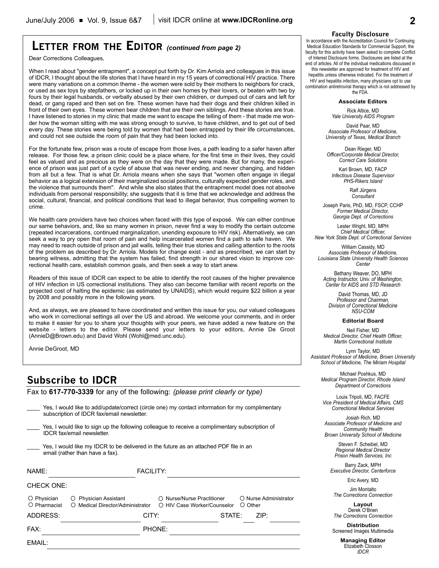## **LETTER FROM THE EDITOR** *(continued from page 2)*

Dear Corrections Colleagues,

When I read about "gender entrapment", a concept put forth by Dr. Kim Arriola and colleagues in this issue of IDCR, I thought about the life stories that I have heard in my 15 years of correctional HIV practice. There were many variations on a common theme - the women were sold by their mothers to neighbors for crack, or used as sex toys by stepfathers, or locked up in their own homes by their lovers, or beaten with two by fours by their legal husbands, or verbally abused by their own children, or dumped out of cars and left for dead, or gang raped and then set on fire. These women have had their dogs and their children killed in front of their own eyes. These women bear children that are their own siblings. And these stories are true. I have listened to stories in my clinic that made me want to escape the telling of them - that made me wonder how the woman sitting with me was strong enough to survive, to have children, and to get out of bed every day. These stories were being told by women that had been entrapped by their life circumstances, and could not see outside the room of pain that they had been locked into.

For the fortunate few, prison was a route of escape from those lives, a path leading to a safer haven after release. For those few, a prison clinic could be a place where, for the first time in their lives, they could feel as valued and as precious as they were on the day that they were made. But for many, the experience of prison was just part of a cycle of abuse that was never ending, and never changing, and hidden from all but a few. That is what Dr. Arriola means when she says that "women often engage in illegal behavior as a logical extension of their marginalized social positions, culturally expected gender roles, and the violence that surrounds them". And while she also states that the entrapment model does not absolve individuals from personal responsibility; she suggests that it is time that we acknowledge and address the social, cultural, financial, and political conditions that lead to illegal behavior, thus compelling women to crime.

We health care providers have two choices when faced with this type of exposé. We can either continue our same behaviors, and, like so many women in prison, never find a way to modify the certain outcome (repeated incarcerations, continued marginalization, unending exposure to HIV risk). Alternatively, we can seek a way to pry open that room of pain and help incarcerated women find a path to safe haven. We may need to reach outside of prison and jail walls, telling their true stories and calling attention to the roots of the problem as described by Dr. Arriola. Models for change exist - and as prescribed, we can start by bearing witness, admitting that the system has failed, find strength in our shared vision to improve correctional health care, establish common goals, and then seek a way to start anew.

Readers of this issue of IDCR can expect to be able to identify the root causes of the higher prevalence of HIV infection in US correctional institutions. They also can become familiar with recent reports on the projected cost of halting the epidemic (as estimated by UNAIDS), which would require \$22 billion a year by 2008 and possibly more in the following years.

And, as always, we are pleased to have coordinated and written this issue for you, our valued colleagues who work in correctional settings all over the US and abroad. We welcome your comments, and in order to make it easier for you to share your thoughts with your peers, we have added a new feature on the website - letters to the editor. Please send your letters to your editors, Annie De Groot (AnnieD@Brown.edu) and David Wohl (Wohl@med.unc.edu).

Annie DeGroot, MD

## **Subscribe to IDCR**

Fax to **617-770-3339** for any of the following: *(please print clearly or type)*

|                                                                                                                          | Yes, I would like to add/update/correct (circle one) my contact information for my complimentary<br>subscription of IDCR fax/email newsletter. |                                                           |         |                       |  |  |  |
|--------------------------------------------------------------------------------------------------------------------------|------------------------------------------------------------------------------------------------------------------------------------------------|-----------------------------------------------------------|---------|-----------------------|--|--|--|
|                                                                                                                          | Yes, I would like to sign up the following colleague to receive a complimentary subscription of<br><b>IDCR</b> fax/email newsletter            |                                                           |         |                       |  |  |  |
| Yes, I would like my IDCR to be delivered in the future as an attached PDF file in an<br>email (rather than have a fax). |                                                                                                                                                |                                                           |         |                       |  |  |  |
| NAME:                                                                                                                    | <b>FACILITY:</b>                                                                                                                               |                                                           |         |                       |  |  |  |
| <b>CHECK ONE:</b>                                                                                                        |                                                                                                                                                |                                                           |         |                       |  |  |  |
| Physician<br>Ő<br>O Pharmacist                                                                                           | <b>Physician Assistant</b><br>○ Medical Director/Administrator                                                                                 | ○ Nurse/Nurse Practitioner<br>○ HIV Case Worker/Counselor | ○ Other | O Nurse Administrator |  |  |  |
| ADDRESS:                                                                                                                 | CITY:                                                                                                                                          | STATE:                                                    |         | ZIP:                  |  |  |  |
| FAX:                                                                                                                     |                                                                                                                                                | PHONE:                                                    |         |                       |  |  |  |
| EMAIL:                                                                                                                   |                                                                                                                                                |                                                           |         |                       |  |  |  |
|                                                                                                                          |                                                                                                                                                |                                                           |         |                       |  |  |  |

## **Faculty Disclosure**

In accordance with the Accreditation Council for Continuing Medical Education Standards for Commercial Support, the faculty for this activity have been asked to complete Conflict of Interest Disclosure forms. Disclosures are listed at the end of articles. All of the individual medications discussed in

this newsletter are approved for treatment of HIV and hepatitis unless otherwise indicated. For the treatment of HIV and hepatitis infection, many physicians opt to use combination antiretroviral therapy which is not addressed by the FDA.

#### **Associate Editors**

Rick Altice, MD *Yale University AIDS Program*

David Paar, MD *Associate Professor of Medicine, University of Texas, Medical Branch*

Dean Rieger, MD *Officer/Corporate Medical Director, Correct Care Solutions*

Karl Brown, MD, FACP *Infectious Disease Supervisor PHS-Rikers Island*

> Ralf Jürgens *Consultant*

Joseph Paris, PhD, MD, FSCP, CCHP *Former Medical Director, Georgia Dept. of Corrections*

Lester Wright, MD, MPH *Chief Medical Officer, New York State Dept. of Correctional Services*

William Cassidy, MD *Associate Professor of Medicine, Louisiana State University Health Sciences Center*

Bethany Weaver, DO, MPH *Acting Instructor, Univ. of Washington, Center for AIDS and STD Research*

David Thomas, MD, JD *Professor and Chairman, Division of Correctional Medicine NSU-COM*

#### **Editorial Board**

Neil Fisher, MD *Medical Director, Chief Health Officer, Martin Correctional Institute*

Lynn Taylor, MD *Assistant Professor of Medicine, Brown University School of Medicine, The Miriam Hospital*

> Michael Poshkus, MD *Medical Program Director, Rhode Island Department of Corrections*

Louis Tripoli, MD, FACFE *Vice President of Medical Affairs, CMS Correctional Medical Services*

Josiah Rich, MD *Associate Professor of Medicine and Community Health Brown University School of Medicine*

> Steven F. Scheibel, MD *Regional Medical Director Prison Health Services, Inc*

Barry Zack, MPH *Executive Director, Centerforce*

Eric Avery, MD

Jim Montalto *The Corrections Connection*

**Layout** Derek O'Brien *The Corrections Connection*

**Distribution** Screened Images Multimedia

> **Managing Editor** Elizabeth Closson *IDCR*

**2**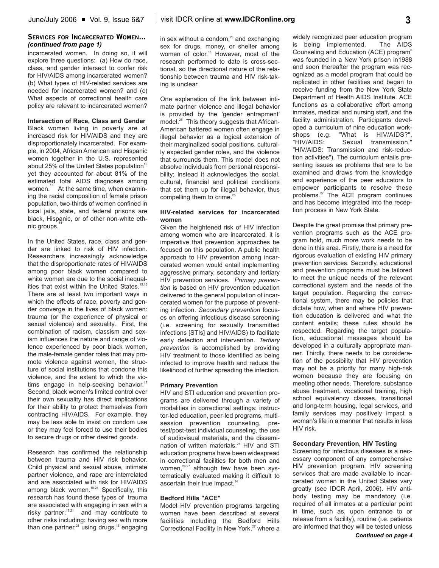## **SERVICES FOR INCARCERATED WOMEN...** *(continued from page 1)*

incarcerated women. In doing so, it will explore three questions: (a) How do race, class, and gender intersect to confer risk for HIV/AIDS among incarcerated women? (b) What types of HIV-related services are needed for incarcerated women? and (c) What aspects of correctional health care policy are relevant to incarcerated women?

## **Intersection of Race, Class and Gender**

Black women living in poverty are at increased risk for HIV/AIDS and they are disproportionately incarcerated. For example, in 2004, African American and Hispanic women together in the U.S. represented about 25% of the United States population $12$ yet they accounted for about 81% of the estimated total AIDS diagnoses among women.<sup>3</sup> At the same time, when examining the racial composition of female prison population, two-thirds of women confined in local jails, state, and federal prisons are black, Hispanic, or of other non-white ethnic groups.

In the United States, race, class and gender are linked to risk of HIV infection. Researchers increasingly acknowledge that the disproportionate rates of HIV/AIDS among poor black women compared to white women are due to the social inequalities that exist within the United States.<sup>15,16</sup> There are at least two important ways in which the effects of race, poverty and gender converge in the lives of black women: trauma (or the experience of physical or sexual violence) and sexuality. First, the combination of racism, classism and sexism influences the nature and range of violence experienced by poor black women, the male-female gender roles that may promote violence against women, the structure of social institutions that condone this violence, and the extent to which the victims engage in help-seeking behavior.<sup>17</sup> Second, black women's limited control over their own sexuality has direct implications for their ability to protect themselves from contracting HIV/AIDS. For example, they may be less able to insist on condom use or they may feel forced to use their bodies to secure drugs or other desired goods.

Research has confirmed the relationship between trauma and HIV risk behavior. Child physical and sexual abuse, intimate partner violence, and rape are interrelated and are associated with risk for HIV/AIDS among black women.<sup>18-24</sup> Specifically, this research has found these types of trauma are associated with engaging in sex with a risky partner; $18,21$  and may contribute to other risks including: having sex with more than one partner, $21$  using drugs, $18$  engaging in sex without a condom, $23$  and exchanging sex for drugs, money, or shelter among women of color.<sup>18</sup> However, most of the research performed to date is cross-sectional, so the directional nature of the relationship between trauma and HIV risk-taking is unclear.

One explanation of the link between intimate partner violence and illegal behavior is provided by the 'gender entrapment' model.<sup>25</sup> This theory suggests that African-American battered women often engage in illegal behavior as a logical extension of their marginalized social positions, culturally expected gender roles, and the violence that surrounds them. This model does not absolve individuals from personal responsibility; instead it acknowledges the social, cultural, financial and political conditions that set them up for illegal behavior, thus compelling them to crime. $25$ 

## **HIV-related services for incarcerated women**

Given the heightened risk of HIV infection among women who are incarcerated, it is imperative that prevention approaches be focused on this population. A public health approach to HIV prevention among incarcerated women would entail implementing aggressive primary, secondary and tertiary HIV prevention services. *Primary prevention* is based on HIV prevention education delivered to the general population of incarcerated women for the purpose of preventing infection. *Secondary prevention* focuses on offering infectious disease screening (i.e. screening for sexually transmitted infections [STIs] and HIV/AIDS) to facilitate early detection and intervention. *Tertiary prevention* is accomplished by providing HIV treatment to those identified as being infected to improve health and reduce the likelihood of further spreading the infection.

## **Primary Prevention**

HIV and STI education and prevention programs are delivered through a variety of modalities in correctional settings: instructor-led education, peer-led programs, multisession prevention counseling, pretest/post-test individual counseling, the use of audiovisual materials, and the dissemination of written materials.<sup>26</sup> HIV and STI education programs have been widespread in correctional facilities for both men and women,<sup>26,27</sup> although few have been systematically evaluated making it difficult to ascertain their true impact.<sup>14</sup>

## **Bedford Hills "ACE"**

Model HIV prevention programs targeting women have been described at several facilities including the Bedford Hills Correctional Facility in New York,<sup>27</sup> where a widely recognized peer education program is being implemented. The AIDS Counseling and Education (ACE) program6 was founded in a New York prison in1988 and soon thereafter the program was recognized as a model program that could be replicated in other facilities and began to receive funding from the New York State Department of Health AIDS Institute. ACE functions as a collaborative effort among inmates, medical and nursing staff, and the facility administration. Participants developed a curriculum of nine education workshops (e.g. "What is HIV/AIDS?", "HIV/AIDS: Sexual transmission," "HIV/AIDS: Transmission and risk-reduction activities"). The curriculum entails presenting issues as problems that are to be examined and draws from the knowledge and experience of the peer educators to empower participants to resolve these problems.27 The ACE program continues and has become integrated into the reception process in New York State.

Despite the great promise that primary prevention programs such as the ACE program hold, much more work needs to be done in this area. Firstly, there is a need for rigorous evaluation of existing HIV primary prevention services. Secondly, educational and prevention programs must be tailored to meet the unique needs of the relevant correctional system and the needs of the target population. Regarding the correctional system, there may be policies that dictate how, when and where HIV prevention education is delivered and what the content entails; these rules should be respected. Regarding the target population, educational messages should be developed in a culturally appropriate manner. Thirdly, there needs to be consideration of the possibility that HIV prevention may not be a priority for many high-risk women because they are focusing on meeting other needs. Therefore, substance abuse treatment, vocational training, high school equivalency classes, transitional and long-term housing, legal services, and family services may positively impact a woman's life in a manner that results in less HIV risk.

## **Secondary Prevention, HIV Testing**

Screening for infectious diseases is a necessary component of any comprehensive HIV prevention program. HIV screening services that are made available to incarcerated women in the United States vary greatly (see IDCR April, 2006). HIV antibody testing may be mandatory (i.e. required of all inmates at a particular point in time, such as, upon entrance to or release from a facility), routine (i.e. patients are informed that they will be tested unless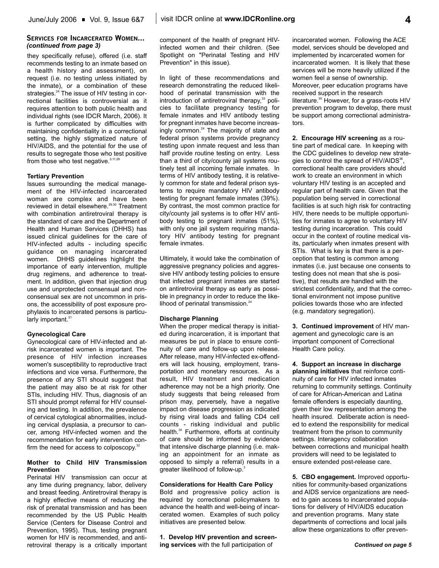## **SERVICES FOR INCARCERATED WOMEN...** *(continued from page 3)*

they specifically refuse), offered (i.e. staff recommends testing to an inmate based on a health history and assessment), on request (i.e. no testing unless initiated by the inmate), or a combination of these strategies.<sup>24</sup> The issue of HIV testing in correctional facilities is controversial as it requires attention to both public health and individual rights (see IDCR March, 2006). It is further complicated by difficulties with maintaining confidentiality in a correctional setting, the highly stigmatized nature of HIV/AIDS, and the potential for the use of results to segregate those who test positive from those who test negative. 3,11,28

## **Tertiary Prevention**

Issues surrounding the medical management of the HIV-infected incarcerated woman are complex and have been reviewed in detail elsewhere.29,30 Treatment with combination antiretroviral therapy is the standard of care and the Department of Health and Human Services (DHHS) has issued clinical guidelines for the care of HIV-infected adults - including specific guidance on managing incarcerated women. DHHS guidelines highlight the importance of early intervention, multiple drug regimens, and adherence to treatment. In addition, given that injection drug use and unprotected consensual and nonconsensual sex are not uncommon in prisons, the accessibility of post exposure prophylaxis to incarcerated persons is particularly important.<sup>31</sup>

## **Gynecological Care**

Gynecological care of HIV-infected and atrisk incarcerated women is important. The presence of HIV infection increases women's susceptibility to reproductive tract infections and vice versa. Furthermore, the presence of any STI should suggest that the patient may also be at risk for other STIs, including HIV. Thus, diagnosis of an STI should prompt referral for HIV counseling and testing. In addition, the prevalence of cervical cytological abnormalities, including cervical dysplasia, a precursor to cancer, among HIV-infected women and the recommendation for early intervention confirm the need for access to colposcopy. $32$ 

## **Mother to Child HIV Transmission Prevention**

Perinatal HIV transmission can occur at any time during pregnancy, labor, delivery and breast feeding. Antiretroviral therapy is a highly effective means of reducing the risk of prenatal transmission and has been recommended by the US Public Health Service (Centers for Disease Control and Prevention, 1995). Thus, testing pregnant women for HIV is recommended, and antiretroviral therapy is a critically important component of the health of pregnant HIVinfected women and their children. (See Spotlight on "Perinatal Testing and HIV Prevention" in this issue).

In light of these recommendations and research demonstrating the reduced likelihood of perinatal transmission with the introduction of antiretroviral therapy, $33$  policies to facilitate pregnancy testing for female inmates and HIV antibody testing for pregnant inmates have become increasingly common.<sup>24</sup> The majority of state and federal prison systems provide pregnancy testing upon inmate request and less than half provide routine testing on entry. Less than a third of city/county jail systems routinely test all incoming female inmates. In terms of HIV antibody testing, it is relatively common for state and federal prison systems to require mandatory HIV antibody testing for pregnant female inmates (39%). By contrast, the most common practice for city/county jail systems is to offer HIV antibody testing to pregnant inmates (51%), with only one jail system requiring mandatory HIV antibody testing for pregnant female inmates.

Ultimately, it would take the combination of aggressive pregnancy policies and aggressive HIV antibody testing policies to ensure that infected pregnant inmates are started on antiretroviral therapy as early as possible in pregnancy in order to reduce the likelihood of perinatal transmission.<sup>24</sup>

## **Discharge Planning**

When the proper medical therapy is initiated during incarceration, it is important that measures be put in place to ensure continuity of care and follow-up upon release. After release, many HIV-infected ex-offenders will lack housing, employment, transportation and monetary resources. As a result, HIV treatment and medication adherence may not be a high priority. One study suggests that being released from prison may, perversely, have a negative impact on disease progression as indicated by rising viral loads and falling CD4 cell counts - risking individual and public health.<sup>34</sup> Furthermore, efforts at continuity of care should be informed by evidence that intensive discharge planning (i.e. making an appointment for an inmate as opposed to simply a referral) results in a greater likelihood of follow-up.3

## **Considerations for Health Care Policy**

Bold and progressive policy action is required by correctional policymakers to advance the health and well-being of incarcerated women. Examples of such policy initiatives are presented below.

**1. Develop HIV prevention and screening services** with the full participation of

incarcerated women. Following the ACE model, services should be developed and implemented by incarcerated women for incarcerated women. It is likely that these services will be more heavily utilized if the women feel a sense of ownership. Moreover, peer education programs have received support in the research literature.<sup>35</sup> However, for a grass-roots HIV prevention program to develop, there must be support among correctional administrators.

**2. Encourage HIV screening** as a routine part of medical care. In keeping with the CDC guidelines to develop new strategies to control the spread of  $HIV/AIDS<sup>36</sup>$ , correctional health care providers should work to create an environment in which voluntary HIV testing is an accepted and regular part of health care. Given that the population being served in correctional facilities is at such high risk for contracting HIV, there needs to be multiple opportunities for inmates to agree to voluntary HIV testing during incarceration. This could occur in the context of routine medical visits, particularly when inmates present with STIs. What is key is that there is a perception that testing is common among inmates (i.e. just because one consents to testing does not mean that she is positive), that results are handled with the strictest confidentiality, and that the correctional environment not impose punitive policies towards those who are infected (e.g. mandatory segregation).

**3. Continued improvement** of HIV management and gynecologic care is an important component of Correctional Health Care policy.

**4. Support an increase in discharge planning initiatives** that reinforce continuity of care for HIV infected inmates returning to community settings. Continuity of care for African-American and Latina female offenders is especially daunting, given their low representation among the health insured. Deliberate action is needed to extend the responsibility for medical treatment from the prison to community settings. Interagency collaboration between corrections and municipal health providers will need to be legislated to ensure extended post-release care.

**5. CBO engagement.** Improved opportunities for community-based organizations and AIDS service organizations are needed to gain access to incarcerated populations for delivery of HIV/AIDS education and prevention programs. Many state departments of corrections and local jails allow these organizations to offer preven-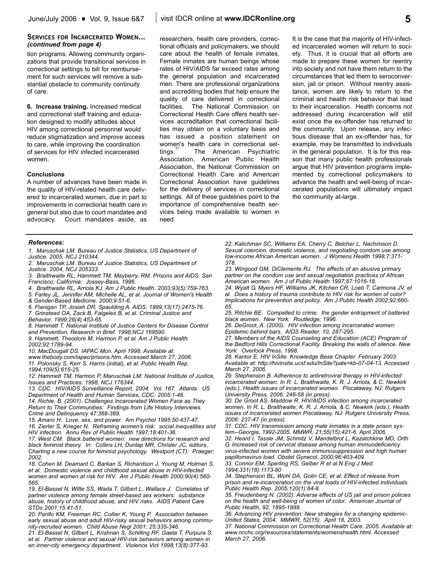## **SERVICES FOR INCARCERATED WOMEN...** *(continued from page 4)*

tion programs. Allowing community organizations that provide transitional services in correctional settings to bill for reimbursement for such services will remove a substantial obstacle to community continuity of care.

**6. Increase training.** Increased medical and correctional staff training and education designed to modify attitudes about HIV among correctional personnel would reduce stigmatization and improve access to care, while improving the coordination of services for HIV infected incarcerated women.

## **Conclusions**

A number of advances have been made in the quality of HIV-related health care delivered to incarcerated women, due in part to improvements in correctional health care in general but also due to court mandates and advocacy. Court mandates aside, as

researchers, health care providers, correctional officials and policymakers, we should care about the health of female inmates. Female inmates are human beings whose rates of HIV/AIDS far exceed rates among the general population and incarcerated men. There are professional organizations and accrediting bodies that help ensure the quality of care delivered in correctional facilities. The National Commission on Correctional Health Care offers health services accreditation that correctional facilities may obtain on a voluntary basis and has issued a position statement on women's health care in correctional settings.<sup>"</sup> The American Psychiatric Association, American Public Health Association, the National Commission on Correctional Health Care and American Correctional Association have guidelines for the delivery of services in correctional settings. All of these guidelines point to the importance of comprehensive health services being made available to women in need.

It is the case that the majority of HIV-infected incarcerated women will return to society. Thus, it is crucial that all efforts are made to prepare these women for reentry into society and not have them return to the circumstances that led them to seroconversion, jail or prison. Without reentry assistance, women are likely to return to the criminal and health risk behavior that lead to their incarceration. Health concerns not addressed during incarceration will still exist once the ex-offender has returned to the community. Upon release, any infectious disease that an ex-offender has, for example, may be transmitted to individuals in the general population. It is for this reason that many public health professionals argue that HIV prevention programs implemented by correctional policymakers to advance the health and well-being of incarcerated populations will ultimately impact the community at-large.

## *References:*

- *1. Maruschak LM. Bureau of Justice Statistics, US Department of Justice. 2005, NCJ 210344.*
- *2. Maruschak LM. Bureau of Justice Statistics, US Department of Justice. 2004, NCJ 205333.*
- *3. Braithwaite RL, Hammett TM, Mayberry, RM. Prisons and AIDS. San Francisco, California: Jossey-Bass, 1996.*
- *4. Braithwaite RL, Arriola KJ. Am J Public Health. 2003;93(5):759-763.*
- *5. Farley JL, Jennifer AM, Michelle AL, et al. Journal of Women's Health & Gender-Based Medicine. 2000;9:51-6.*
- *6. Flanigan TP, Josiah DR, Spaulding A. AIDS. 1999;13(17):2475-76.*
- *7. Grinstead OA, Zack B, Faigeles B, et al. Criminal Justice and*
- *Behavior. 1999;26(4):453-65.*

*8. Hammett T. National Institute of Justice Centers for Disease Control and Prevention, Research in Brief. 1998;NCJ 169590.*

*9. Hammett, Theodore M, Harmon P, et al. Am J Public Health. 2002;92:1789-94.*

*10. MacDougall DS. IAPAC Mon. April 1998. Available at:*

*www.thebody.com/iapac/prisons.htm. Accessed March 27, 2006. 11. Polonsky S, Kerr S, Harris (initial), et al. Public Health Rep.*

*1994;109(5):615-25.*

*12. Hammett TM, Harmon P, Maruschak LM. National Institute of Justice, Issues and Practices. 1998, NCJ 176344.*

*13. CDC. HIV/AIDS Surveillance Report, 2004. Vol. 167. Atlanta: US Department of Health and Human Services, CDC; 2005:1-46.*

*14. Richie, B. (2001). Challenges Incarcerated Women Face as They Return to Their Communities: Findings from Life History Interviews. Crime and Delinquency 47:368-389.*

*15. Amaro H. Love, sex, and power. Am Psychol 1995;50:437-47. 16. Zierler S, Krieger N. Reframing women's risk: social inequalities and HIV infection. Annu Rev of Public Health 1997;18:401-36.*

*17. West CM. Black battered women: new directions for research and black feminist theory. In: Collins LH, Dunlap MR, Chrisler JC, editors. Charting a new course for feminist psychology. Westport (CT): Praeger; 2002.*

*18. Cohen M, Deamant C, Barkan S, Richardson J, Young M, Holman S, et al. Domestic violence and childhood sexual abuse in HIV-infected women and women at risk for HIV. Am J Public Health 2000;90(4):560- 565.*

*19. El-Bassel N, Witte SS, Wada T, Gilbert L, Wallace J. Correlates of partner violence among female street-based sex workers: substance abuse, history of childhood abuse, and HIV risks. AIDS Patient Care STDs 2001;15:41-51.*

*20. Parillo KM, Freeman RC, Collier K, Young P. Association between early sexual abuse and adult HIV-risky sexual behaviors among community-recruited women. Child Abuse Negl 2001; 25:335-346.*

*21. El-Bassel N, Gilbert L, Krishnan S, Schilling RF, Gaeta T, Purpura S, et al. Partner violence and sexual HIV-risk behaviors among women in an inner-city emergency department. Violence Vict 1998;13(8):377-93.*

*22. Kalichman SC, Williams EA, Cherry C, Belcher L, Nachimson D. Sexual coercion, domestic violence, and negotiating condom use among low-income African American women. J Womens Health 1998;7:371- 378.*

*23. Wingood GM, DiClemente RJ. The effects of an abusive primary partner on the condom use and sexual negotiation practices of African American women. Am J of Public Health 1997;87:1016-18.*

*24. Wyatt G, Myers HF, Williams JK, Kitchen CR, Loeb T, Carmona JV, et al. Does a history of trauma contribute to HIV risk for women of color? Implications for prevention and policy. Am J Public Health 2002;92:660- 65.*

*25. Ritchie BE. Compelled to crime: the gender entrapment of battered black women. New York: Routledge; 1996.*

*26. DeGroot, A. (2000). HIV infection among incarcerated women: Epidemic behind bars. AIDS Reader, 10, 287-295.*

*27. Members of the AIDS Counseling and Education (ACE) Program of the Bedford Hills Correctional Facility. Breaking the walls of silence. New York: Overlook Press, 1998.*

*28. Kantor E. HIV InSite. Knowledge Base Chapter. February 2003. Available at: http://hivinsite.ucsf.edu/InSite?pate=kb-07-04-13. Accessed March 27, 2006.*

*29. Stephenson B. Adherence to antiretroviral therapy in HIV-infected incarcerated women. In R. L. Braithwaite, K. R. J. Arriola, & C. Newkirk (eds.), Health issues of incarcerated women. Piscataway, NJ: Rutgers University Press, 2006: 248-58 (in press).* 

*30. De Groot AS, Maddow R. HIV/AIDS infection among incarcerated women. In R. L. Braithwaite, K. R. J. Arriola, & C. Newkirk (eds.), Health issues of incarcerated women Piscataway, NJ: Rutgers University Press, 2006: 237-47 (in press).*

*31. CDC. HIV transmission among male inmates in a state prison system--Georgia, 1992-2005. MMWR, 21;55(15):421-6. April 2006. 32. Heard I, Tassie JM, Schmitz V, Mandelbrot L, Kazatchkine MD, Orth G. Increased risk of cervical disease among human immuodeficiency virus-infected women with severe immunosuppression and high human*

*papillomavirus load. Obstet Gynecol. 2000;96:403-409. 33. Connor EM, Sperling RS, Gelber R et al.N Eng J Med. 1994;331(18):1173-80*

*34. Stephenson BL, Wohl DA, Golin CE, et al. Effect of release from prison and re-incarceration on the viral loads of HIV-infected individuals. Public Health Rep. 2005;120(1):84-8.*

*35. Freudenberg N. (2002). Adverse effects of US jail and prison policies on the health and well-being of women of color. American Journal of Public Health, 92, 1895-1899.*

*36. Advancing HIV prevention: New strategies for a changing epidemic-United States, 2004. MMWR, 52(15). April 18, 2003.*

*37. National Commission on Correctional Health Care. 2005. Available at: www.ncchc.org/resources/statements/womenshealth.html. Accessed March 27, 2006.*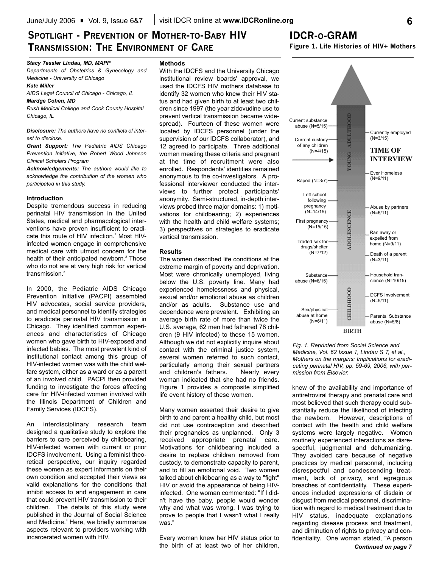## **SPOTLIGHT - PREVENTION OF MOTHER-TO-BABY HIV TRANSMISSION: THE ENVIRONMENT OF CARE**

## **IDCR-O-GRAM**

**Figure 1. Life Histories of HIV+ Mothers**

## *Stacy Tessler Lindau, MD, MAPP*

*Departments of Obstetrics & Gynecology and Medicine - University of Chicago*

## *Kate Miller*

*AIDS Legal Council of Chicago - Chicago, IL Mardge Cohen, MD*

*Rush Medical College and Cook County Hospital Chicago, IL*

*Disclosure: The authors have no conflicts of interest to disclose.* 

*Grant Support: The Pediatric AIDS Chicago Prevention Initiative, the Robert Wood Johnson Clinical Scholars Program* 

*Acknowledgements: The authors would like to acknowledge the contribution of the women who participated in this study.* 

### **Introduction**

Despite tremendous success in reducing perinatal HIV transmission in the United States, medical and pharmacological interventions have proven insufficient to eradicate this route of HIV infection.<sup>1</sup> Most HIVinfected women engage in comprehensive medical care with utmost concern for the health of their anticipated newborn. $2$  Those who do not are at very high risk for vertical transmission.<sup>3</sup>

In 2000, the Pediatric AIDS Chicago Prevention Initiative (PACPI) assembled HIV advocates, social service providers, and medical personnel to identify strategies to eradicate perinatal HIV transmission in Chicago. They identified common experiences and characteristics of Chicago women who gave birth to HIV-exposed and infected babies. The most prevalent kind of institutional contact among this group of HIV-infected women was with the child welfare system, either as a ward or as a parent of an involved child. PACPI then provided funding to investigate the forces affecting care for HIV-infected women involved with the Illinois Department of Children and Family Services (IDCFS).

An interdisciplinary research team designed a qualitative study to explore the barriers to care perceived by childbearing, HIV-infected women with current or prior IDCFS involvement. Using a feminist theoretical perspective, our inquiry regarded these women as expert informants on their own condition and accepted their views as valid explanations for the conditions that inhibit access to and engagement in care that could prevent HIV transmission to their children. The details of this study were published in the Journal of Social Science and Medicine.<sup>4</sup> Here, we briefly summarize aspects relevant to providers working with incarcerated women with HIV.

## **Methods**

With the IDCFS and the University Chicago institutional review boards' approval, we used the IDCFS HIV mothers database to identify 32 women who knew their HIV status and had given birth to at least two children since 1997 (the year zidovudine use to prevent vertical transmission became widespread). Fourteen of these women were located by IDCFS personnel (under the supervision of our IDCFS collaborator), and 12 agreed to participate. Three additional women meeting these criteria and pregnant at the time of recruitment were also enrolled. Respondents' identities remained anonymous to the co-investigators. A professional interviewer conducted the interviews to further protect participants' anonymity. Semi-structured, in-depth interviews probed three major domains: 1) motivations for childbearing; 2) experiences with the health and child welfare systems; 3) perspectives on strategies to eradicate vertical transmission.

## **Results**

The women described life conditions at the extreme margin of poverty and deprivation. Most were chronically unemployed, living below the U.S. poverty line. Many had experienced homelessness and physical, sexual and/or emotional abuse as children and/or as adults. Substance use and dependence were prevalent. Exhibiting an average birth rate of more than twice the U.S. average, 62 men had fathered 78 children (9 HIV infected) to these 15 women. Although we did not explicitly inquire about contact with the criminal justice system, several women referred to such contact, particularly among their sexual partners and children's fathers. Nearly every woman indicated that she had no friends. Figure 1 provides a composite simplified life event history of these women.

Many women asserted their desire to give birth to and parent a healthy child, but most did not use contraception and described their pregnancies as unplanned. Only 3 received appropriate prenatal care. Motivations for childbearing included a desire to replace children removed from custody, to demonstrate capacity to parent, and to fill an emotional void. Two women talked about childbearing as a way to "fight" HIV or avoid the appearance of being HIVinfected. One woman commented: "If I didn't have the baby, people would wonder why and what was wrong. I was trying to prove to people that I wasn't what I really was."

Every woman knew her HIV status prior to the birth of at least two of her children,



*Fig. 1. Reprinted from Social Science and Medicine, Vol. 62 Issue 1, Lindau S T, et al., Mothers on the margins: Implications for eradicating perinatal HIV, pp. 59-69, 2006, with permission from Elsevier.*

knew of the availability and importance of antiretroviral therapy and prenatal care and most believed that such therapy could substantially reduce the likelihood of infecting the newborn. However, descriptions of contact with the health and child welfare systems were largely negative. Women routinely experienced interactions as disrespectful, judgmental and dehumanizing. They avoided care because of negative practices by medical personnel, including disrespectful and condescending treatment, lack of privacy, and egregious breaches of confidentiality. These experiences included expressions of disdain or disgust from medical personnel, discrimination with regard to medical treatment due to HIV status, inadequate explanations regarding disease process and treatment, and diminution of rights to privacy and confidentiality. One woman stated, "A person *Continued on page 7*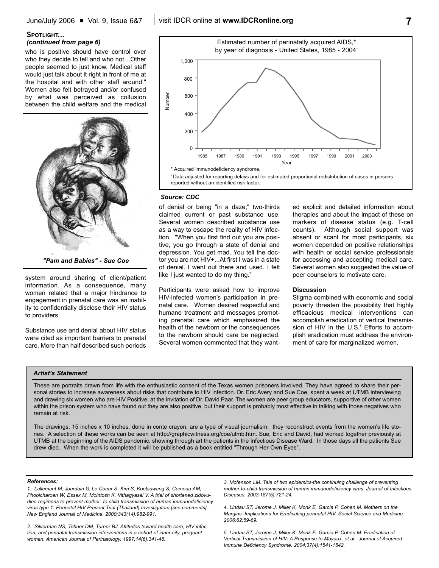## **SPOTLIGHT...** *(continued from page 6)*

who is positive should have control over who they decide to tell and who not…Other people seemed to just know. Medical staff would just talk about it right in front of me at the hospital and with other staff around." Women also felt betrayed and/or confused by what was perceived as collusion between the child welfare and the medical



*"Pam and Babies" - Sue Coe*

system around sharing of client/patient information. As a consequence, many women related that a major hindrance to engagement in prenatal care was an inability to confidentially disclose their HIV status to providers.

Substance use and denial about HIV status were cited as important barriers to prenatal care. More than half described such periods



## *Source: CDC*

of denial or being "in a daze;" two-thirds claimed current or past substance use. Several women described substance use as a way to escape the reality of HIV infection. "When you first find out you are positive, you go through a state of denial and depression. You get mad. You tell the doctor you are not HIV+...At first I was in a state of denial. I went out there and used. I felt like I just wanted to do my thing."

Participants were asked how to improve HIV-infected women's participation in prenatal care. Women desired respectful and humane treatment and messages promoting prenatal care which emphasized the health of the newborn or the consequences to the newborn should care be neglected. Several women commented that they wanted explicit and detailed information about therapies and about the impact of these on markers of disease status (e.g. T-cell counts). Although social support was absent or scant for most participants, six women depended on positive relationships with health or social service professionals for accessing and accepting medical care. Several women also suggested the value of peer counselors to motivate care.

#### **Discussion**

Stigma combined with economic and social poverty threaten the possibility that highly efficacious medical interventions can accomplish eradication of vertical transmission of HIV in the U.S.<sup>5</sup> Efforts to accomplish eradication must address the environment of care for marginalized women.

### *Artist's Statement*

These are portraits drawn from life with the enthusiastic consent of the Texas women prisoners involved. They have agreed to share their personal stories to increase awareness about risks that contribute to HIV infection. Dr. Eric Avery and Sue Coe, spent a week at UTMB interviewing and drawing six women who are HIV Positive, at the invitation of Dr. David Paar. The women are peer group educators, supportive of other women within the prison system who have found out they are also positive, but their support is probably most effective in talking with those negatives who remain at risk.

The drawings, 15 inches x 10 inches, done in conte crayon, are a type of visual journalism: they reconstruct events from the women's life stories. A selection of these works can be seen at http://graphicwitness.org/coe/utmb.htm. Sue, Eric and David, had worked together previously at UTMB at the beginning of the AIDS pandemic, showing through art the patients in the Infectious Disease Ward. In those days all the patients Sue drew died. When the work is completed it will be published as a book entitled "Through Her Own Eyes".

#### *References:*

*1. Lallemant M, Jourdain G, Le Coeur S, Kim S, Koetsawang S, Comeau AM, Phoolcharoen W, Essex M, McIntosh K, Vithagyasai V. A trial of shortened zidovudine regimens to prevent mother -to child transmission of human immunodeficiency virus type 1. Perinatal HIV Prevent Trial (Thailand) Investigators [see comments] New England Journal of Medicine. 2000;343(14):982-991.*

*2. Silverman NS, Tohner DM, Turner BJ. Attitudes toward health-care, HIV infection, and perinatal transmission interventions in a cohort of inner-city, pregnant women. American Journal of Perinatology. 1997;14(6):341-46.*

*3. Mofenson LM. Tale of two epidemics-the continuing challenge of preventing mother-to-child transmission of human immunodeficiency virus. Journal of Infectious Diseases. 2003;187(5):721-24.*

*4. Lindau ST, Jerome J, Miller K, Monk E, Garcia P, Cohen M. Mothers on the Margins: Implications for Eradicating perinatal HIV. Social Science and Medicine. 2006;62:59-69.* 

*5. Lindau ST, Jerome J, Miller K, Monk E, Garcia P, Cohen M. Eradication of Vertical Transmission of HIV: A Response to Mayaux, et al. Journal of Acquired Immune Deficiency Syndrome. 2004;37(4):1541-1542.*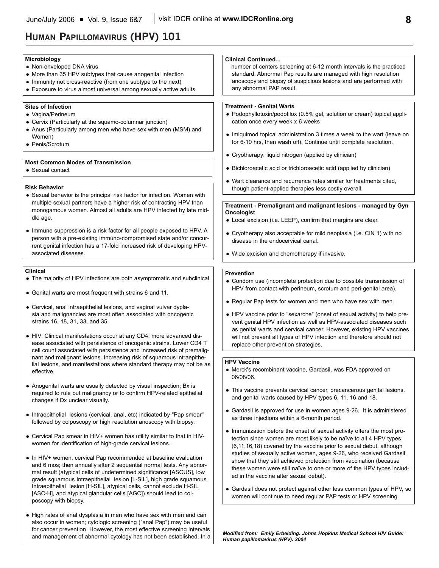## **HUMAN PAPILLOMAVIRUS (HPV) 101**

#### **Clinical** • The majority of HPV infections are both asymptomatic and subclinical. • Genital warts are most frequent with strains 6 and 11. • Cervical, anal intraepithelial lesions, and vaginal vulvar dyplasia and malignancies are most often associated with oncogenic strains 16, 18, 31, 33, and 35. • HIV: Clinical manifestations occur at any CD4; more advanced disease associated with persistence of oncogenic strains. Lower CD4 T cell count associated with persistence and increased risk of premalignant and malignant lesions. Increasing risk of squamous intraepithelial lesions, and manifestations where standard therapy may not be as effective. • Anogenital warts are usually detected by visual inspection; Bx is required to rule out malignancy or to confirm HPV-related epithelial changes if Dx unclear visually. • Intraepithelial lesions (cervical, anal, etc) indicated by "Pap smear" followed by colposcopy or high resolution anoscopy with biopsy. • Cervical Pap smear in HIV+ women has utility similar to that in HIVwomen for identification of high-grade cervical lesions. • In HIV+ women, cervical Pap recommended at baseline evaluation and 6 mos; then annually after 2 sequential normal tests. Any abnormal result (atypical cells of undetermined significance [ASCUS], low grade squamous Intraepithelial lesion [L-SIL], high grade squamous Intraepithelial lesion [H-SIL], atypical cells, cannot exclude H-SIL [ASC-H], and atypical glandular cells [AGC]) should lead to col-**Prevention** • Condom use (incomplete protection due to possible transmission of HPV from contact with perineum, scrotum and peri-genital area). • Regular Pap tests for women and men who have sex with men. • HPV vaccine prior to "sexarche" (onset of sexual activity) to help prevent genital HPV infection as well as HPV-associated diseases such as genital warts and cervical cancer. However, existing HPV vaccines will not prevent all types of HPV infection and therefore should not replace other prevention strategies. **HPV Vaccine** • Merck's recombinant vaccine, Gardasil, was FDA approved on 06/08/06. • This vaccine prevents cervical cancer, precancerous genital lesions, and genital warts caused by HPV types 6, 11, 16 and 18. • Gardasil is approved for use in women ages 9-26. It is administered as three injections within a 6-month period. • Immunization before the onset of sexual activity offers the most protection since women are most likely to be naïve to all 4 HPV types (6,11,16,18) covered by the vaccine prior to sexual debut, although studies of sexually active women, ages 9-26, who received Gardasil, show that they still achieved protection from vaccination (because these women were still naïve to one or more of the HPV types included in the vaccine after sexual debut). • Gardasil does not protect against other less common types of HPV, so women will continue to need regular PAP tests or HPV screening. **Treatment - Genital Warts** • Podophyllotoxin/podofilox (0.5% gel, solution or cream) topical application once every week x 6 weeks • Imiquimod topical administration 3 times a week to the wart (leave on for 6-10 hrs, then wash off). Continue until complete resolution. • Cryotherapy: liquid nitrogen (applied by clinician) • Bichloroacetic acid or trichloroacetic acid (applied by clinician) • Wart clearance and recurrence rates similar for treatments cited, though patient-applied therapies less costly overall. **Treatment - Premalignant and malignant lesions - managed by Gyn Oncologist** • Local excision (i.e. LEEP), confirm that margins are clear. • Cryotherapy also acceptable for mild neoplasia (i.e. CIN 1) with no disease in the endocervical canal. • Wide excision and chemotherapy if invasive. **Risk Behavior** • Sexual behavior is the principal risk factor for infection. Women with multiple sexual partners have a higher risk of contracting HPV than monogamous women. Almost all adults are HPV infected by late middle age. • Immune suppression is a risk factor for all people exposed to HPV. A person with a pre-existing immuno-compromised state and/or concurrent genital infection has a 17-fold increased risk of developing HPVassociated diseases. **Microbiology** • Non-enveloped DNA virus • More than 35 HPV subtypes that cause anogenital infection • Immunity not cross-reactive (from one subtype to the next) • Exposure to virus almost universal among sexually active adults **Sites of Infection** • Vagina/Perineum • Cervix (Particularly at the squamo-columnar junction) • Anus (Particularly among men who have sex with men (MSM) and Women) • Penis/Scrotum **Most Common Modes of Transmission** • Sexual contact **Clinical Continued...**  number of centers screening at 6-12 month intervals is the practiced standard. Abnormal Pap results are managed with high resolution anoscopy and biopsy of suspicious lesions and are performed with any abnormal PAP result.

 $\bullet$  High rates of anal dysplasia in men who have sex with men and can also occur in women; cytologic screening ("anal Pap") may be useful for cancer prevention. However, the most effective screening intervals and management of abnormal cytology has not been established. In a

poscopy with biopsy.

*Modified from: Emily Erbelding. Johns Hopkins Medical School HIV Guide: Human papillomavirus (HPV). 2004*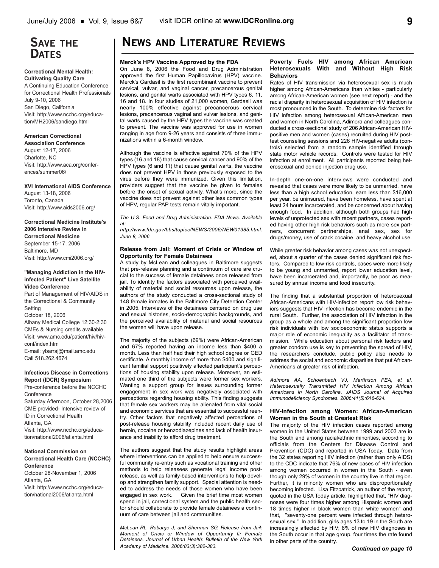## **SAVE THE DATES**

### **Correctional Mental Health: Cultivating Quality Care**

A Continuing Education Conference for Correctional Health Professionals July 9-10, 2006 San Diego, California Visit: http://www.ncchc.org/education/MH2006/sandiego.html

## **American Correctional**

**Association Conference** August 12-17, 2006 Charlotte, NC Visit: http://www.aca.org/conferences/summer06/

## **XVI International AIDS Conference**

August 13-18, 2006 Toronto, Canada Visit: http://www.aids2006.org/

## **Correctional Medicine Institute's 2006 Intensive Review in Correctional Medicine** September 15-17, 2006 Baltimore, MD Visit: http://www.cmi2006.org/

## **"Managing Addiction in the HIVinfected Patient" Live Satellite Video Conference**

Part of Management of HIV/AIDS in the Correctional & Community Setting October 18, 2006 Albany Medical College 12:30-2:30 CMEs & Nursing credits available Visit: www.amc.edu/patient/hiv/hivconf/index.htm E-mail: ybarraj@mail.amc.edu Call 518.262.4674

## **Infectious Disease in Corrections Report (IDCR) Symposium**

Pre-conference before the NCCHC Conference Saturday Afternoon, October 28,2006 CME provided- Intensive review of ID in Correctional Health Atlanta, GA Visit: http://www.ncchc.org/education/national2006/atlanta.html

### **National Commission on Correctional Health Care (NCCHC) Conference**

October 28-November 1, 2006 Atlanta, GA Visit: http://www.ncchc.org/education/national2006/atlanta.html

# **NEWS AND LITERATURE REVIEWS**

## **Merck's HPV Vaccine Approved by the FDA**

On June 8, 2006 the Food and Drug Administration approved the first Human Papillopavirus (HPV) vaccine. Merck's Gardasil is the first recombinant vaccine to prevent cervical, vulvar, and vaginal cancer, precancerous genital lesions, and genital warts associated with HPV types 6, 11, 16 and 18. In four studies of 21,000 women, Gardasil was nearly 100% effective against precancerous cervical lesions, precancerous vaginal and vulvar lesions, and genital warts caused by the HPV types the vaccine was created to prevent. The vaccine was approved for use in women ranging in age from 9-26 years and consists of three immunizations within a 6-month window.

Although the vaccine is effective against 70% of the HPV types (16 and 18) that cause cervical cancer and 90% of the HPV types (6 and 11) that cause genital warts, the vaccine does not prevent HPV in those previously exposed to the virus before they were immunized. Given this limitation, providers suggest that the vaccine be given to females before the onset of sexual activity. What's more, since the vaccine does not prevent against other less common types of HPV, regular PAP tests remain vitally important.

*The U.S. Food and Drug Administration. FDA News. Available at:*

*http://www.fda.gov/bbs/topics/NEWS/2006/NEW01385.html. June 8, 2006.* 

## **Release from Jail: Moment of Crisis or Window of Opportunity for Female Detainees**

A study by McLean and colleagues in Baltimore suggests that pre-release planning and a continuum of care are crucial to the success of female detainees once released from jail. To identity the factors associated with perceived availability of material and social resources upon release, the authors of the study conducted a cross-sectional study of 148 female inmates in the Baltimore City Detention Center in 2005. Interviews of the detainees centered on drug use and sexual histories, socio-demographic backgrounds, and the perceived availability of material and social resources the women will have upon release.

The majority of the subjects (69%) were African-American and 67% reported having an income less than \$400 a month. Less than half had their high school degree or GED certificate. A monthly income of more than \$400 and significant familial support positively affected participant's perceptions of housing stability upon release. Moreover, an estimated one third of the subjects were former sex workers. Wanting a support group for issues surrounding former engagement in sex work was negatively associated with perceptions regarding housing ability. This finding suggests that female sex workers may be alienated from vital social and economic services that are essential to successful reentry. Other factors that negatively affected perceptions of post-release housing stability included recent daily use of heroin, cocaine or benzodiazepines and lack of health insurance and inability to afford drug treatment.

The authors suggest that the study results highlight areas where interventions can be applied to help ensure successful community re-entry such as vocational training and other methods to help releasees generate legal income postrelease, as well as family-based interventions to help develop and strengthen family support. Special attention is needed to address the needs of those women who have been engaged in sex work. Given the brief time most women spend in jail, correctional system and the public health sector should collaborate to provide female detainees a continuum of care between jail and communities.

*McLean RL, Robarge J, and Sherman SG. Release from Jail: Moment of Crisis or Window of Opportunity fir Female Detainees. Journal of Urban Health: Bulletin of the New York Academy of Medicine. 2006:83(3):382-383.*

## **Poverty Fuels HIV among African American Heterosexuals With and Without High Risk Behaviors**

Rates of HIV transmission via heterosexual sex is much higher among African-Americans than whites - particularly among African-American women (see next report) - and the racial disparity in heterosexual acquisition of HIV infection is most pronounced in the South. To determine risk factors for HIV infection among heterosexual African-American men and women in North Carolina, Adimora and colleagues conducted a cross-sectional study of 206 African-American HIVpositive men and women (cases) recruited during HIV posttest counseling sessions and 226 HIV-negative adults (controls) selected from a random sample identified through state motor vehicle records. Controls were tested for HIV infection at enrollment. All participants reported being heterosexual and denied injection drug use.

In-depth one-on-one interviews were conducted and revealed that cases were more likely to be unmarried, have less than a high school education, earn less than \$16,000 per year, be uninsured, have been homeless, have spent at least 24 hours incarcerated, and be concerned about having enough food. In addition, although both groups had high levels of unprotected sex with recent partners, cases reported having other high risk behaviors such as more sex partners, concurrent partnerships, anal sex, sex for drugs/money, use of crack cocaine, and heavy alcohol use.

While greater risk behavior among cases was not unexpected, about a quarter of the cases denied significant risk factors. Compared to low-risk controls, cases were more likely to be young and unmarried, report lower education level, have been incarcerated and, importantly, be poor as measured by annual income and food insecurity.

The finding that a substantial proportion of heterosexual African-Americans with HIV-infection report low risk behaviors suggests that HIV infection has become endemic in the rural South. Further, the association of HIV infection in the group as a whole and among the significant proportion low risk individuals with low socioeconomic status supports a major role of economic inequality as a facilitator of transmission. While education about personal risk factors and greater condom use is key to preventing the spread of HIV, the researchers conclude, public policy also needs to address the social and economic disparities that put African-Americans at greater risk of infection.

*Adimora AA, Schoenbach VJ, Martinson FEA, et al. Heterosexually Transmitted HIV Infection Among African Americans in North Carolina. JAIDS Journal of Acquired Immunodeficiency Syndromes. 2006:41(5):616-624.* 

## **HIV-Infection among Women: African-American Women in the South at Greatest Risk**

The majority of the HIV infection cases reported among women in the United States between 1999 and 2003 are in the South and among racial/ethnic minorities, according to officials from the Centers for Disease Control and Prevention (CDC) and reported in USA Today. Data from the 32 states reporting HIV infection (rather than only AIDS) to the CDC indicate that 76% of new cases of HIV infection among women occurred in women in the South - even though only 29% of women in the country live in that region. Further, it is minority women who are disproportionately becoming infected. Lisa Fitzpatrick, an author of the report, quoted in the USA Today article, highlighted that, "HIV diagnoses were four times higher among Hispanic women and 18 times higher in black women than white women" and that, "seventy-one percent were infected through heterosexual sex." In addition, girls ages 13 to 19 in the South are increasingly affected by HIV; 8% of new HIV diagnoses in the South occur in that age group, four times the rate found in other parts of the country.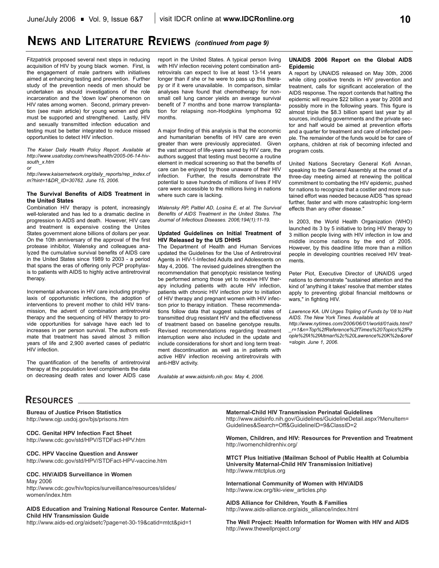# **NEWS AND LITERATURE REVIEWS** *(continued from page 9)*

Fitzpatrick proposed several next steps in reducing acquisition of HIV by young black women. First, is the engagement of male partners with initiatives aimed at enhancing testing and prevention. Further study of the prevention needs of men should be undertaken as should investigations of the role incarceration and the 'down low' phenomenon on HIV rates among women. Second, primary prevention (see main article) for young women and girls must be supported and strengthened. Lastly, HIV and sexually transmitted infection education and testing must be better integrated to reduce missed opportunities to detect HIV infection.

*The Kaiser Daily Health Policy Report. Available at http://www.usatoday.com/news/health/2005-06-14-hivsouth\_x.htm*

*or*

*http://www.kaisernetwork.org/daily\_reports/rep\_index.cf m?hint=1&DR\_ID=30762. June 15, 2006.*

### **The Survival Benefits of AIDS Treatment in the United States**

Combination HIV therapy is potent, increasingly well-tolerated and has led to a dramatic decline in progression to AIDS and death. However, HIV care and treatment is expensive costing the Unites States government alone billions of dollars per year. On the 10th anniversary of the approval of the first protease inhibitor, Walensky and colleagues analyzed the cumulative survival benefits of AIDS care in the United States since 1989 to 2003 - a period that spans the eras of offering only PCP prophylaxis to patients with AIDS to highly active antiretroviral therapy.

Incremental advances in HIV care including prophylaxis of opportunistic infections, the adoption of interventions to prevent mother to child HIV transmission, the advent of combination antiretroviral therapy and the sequencing of HIV therapy to provide opportunities for salvage have each led to increases in per person survival. The authors estimate that treatment has saved almost 3 million years of life and 2,900 averted cases of pediatric HIV infection.

The quantification of the benefits of antiretroviral therapy at the population level compliments the data on decreasing death rates and lower AIDS case report in the United States. A typical person living with HIV infection receiving potent combination antiretrovirals can expect to live at least 13-14 years longer than if she or he were to pass up this therapy or if it were unavailable. In comparison, similar analyses have found that chemotherapy for nonsmall cell lung cancer yields an average survival benefit of 7 months and bone marrow transplantation for relapsing non-Hodgkins lymphoma 92 months.

A major finding of this analysis is that the economic and humanitarian benefits of HIV care are even greater than were previously appreciated. Given the vast amount of life-years saved by HIV care, the authors suggest that testing must become a routine element in medical screening so that the benefits of care can be enjoyed by those unaware of their HIV infection. Further, the results demonstrate the potential to save hundreds of millions of lives if HIV care were accessible to the millions living in nations where such care is lacking.

*Walensky RP, Paltiel AD, Losina E, et al. The Survival Benefits of AIDS Treatment in the United States. The Journal of Infectious Diseases. 2006;194(1):11-19.* 

### **Updated Guidelines on Initial Treatment of HIV Released by the US DHHS**

The Department of Health and Human Services updated the Guidelines for the Use of Antiretroviral Agents in HIV-1-Infected Adults and Adolescents on May 4, 2006. The revised guidelines strengthen the recommendation that genoptypic resistance testing be performed among those yet to receive HIV therapy including patients with acute HIV infection, patients with chronic HIV infection prior to initiation of HIV therapy and pregnant women with HIV infection prior to therapy initiation. These recommendations follow data that suggest substantial rates of transmitted drug resistant HIV and the effectiveness of treatment based on baseline genotype results. Revised recommendations regarding treatment interruption were also included in the update and include considerations for short and long term treatment discontinuation as well as in patients with active HBV infection receiving antiretrovirals with anti-HBV activity.

*Available at www.aidsinfo.nih.gov. May 4, 2006.*

### **UNAIDS 2006 Report on the Global AIDS Epidemic**

A report by UNAIDS released on May 30th, 2006 while citing positive trends in HIV prevention and treatment, calls for significant acceleration of the AIDS response. The report contends that halting the epidemic will require \$22 billion a year by 2008 and possibly more in the following years. This figure is almost triple the \$8.3 billion spent last year by all sources, including governments and the private sector and half would be aimed at prevention efforts and a quarter for treatment and care of infected people. The remainder of the funds would be for care of orphans, children at risk of becoming infected and program costs.

United Nations Secretary General Kofi Annan, speaking to the General Assembly at the onset of a three-day meeting aimed at renewing the political commitment to combating the HIV epidemic, pushed for nations to recognize that a costlier and more sustained effort was needed because AIDS "has spread further, faster and with more catastrophic long-term effects than any other disease."

In 2003, the World Health Organization (WHO) launched its 3 by 5 initiative to bring HIV therapy to 3 million people living with HIV infection in low and middle income nations by the end of 2005. However, by this deadline little more than a million people in developing countries received HIV treatments.

Peter Piot, Executive Director of UNAIDS urged nations to demonstrate "sustained attention and the kind of 'anything it takes' resolve that member states apply to preventing global financial meltdowns or wars," in fighting HIV.

*Lawrence KA. UN Urges Tripling of Funds by '08 to Halt AIDS. The New York Times. Available at* 

*http://www.nytimes.com/2006/06/01/world/01aids.html? \_r=1&n=Top%2fReference%2fTimes%20Topics%2fPe ople%2fA%2fAltman%2c%20Lawrence%20K%2e&oref =slogin. June 1, 2006.*

## **RESOURCES**

**Bureau of Justice Prison Statistics** http://www.ojp.usdoj.gov/bjs/prisons.htm

**CDC. Genital HPV Infection Fact Sheet** http://www.cdc.gov/std/HPV/STDFact-HPV.htm

**CDC. HPV Vaccine Question and Answer** http://www.cdc.gov/std/HPV/STDFact-HPV-vaccine.htm

#### **CDC. HIV/AIDS Surveillance in Women** May 2006

http://www.cdc.gov/hiv/topics/surveillance/resources/slides/ women/index.htm

**AIDS Education and Training National Resource Center. Maternal-Child HIV Transmission Guide**

http://www.aids-ed.org/aidsetc?page=et-30-19&catid=mtct&pid=1

**Maternal-Child HIV Transmission Perinatal Guidelines**

http://www.aidsinfo.nih.gov/Guidelines/GuidelineDetail.aspx?MenuItem= Guidelines&Search=Off&GuidelineID=9&ClassID=2

**Women, Children, and HIV: Resources for Prevention and Treatment** http://womenchildrenhiv.org/

**MTCT Plus Initiative (Mailman School of Public Health at Columbia University Maternal-Child HIV Transmission Initiative)** http://www.mtctplus.org

**International Community of Women with HIV/AIDS** http://www.icw.org/tiki-view\_articles.php

**AIDS Alliance for Children, Youth & Families**  http://www.aids-alliance.org/aids\_alliance/index.html

**The Well Project: Health Information for Women with HIV and AIDS** http://www.thewellproject.org/